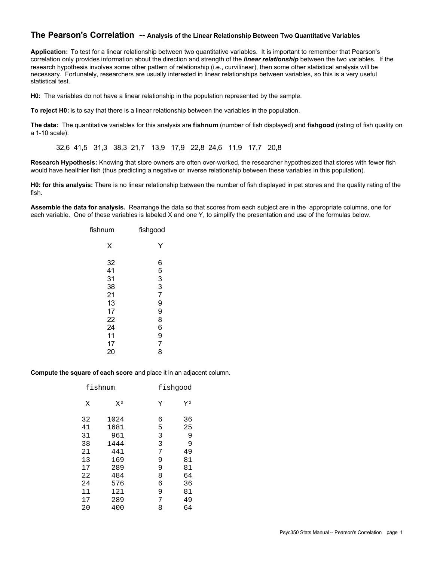# **The Pearson's Correlation -- Analysis of the Linear Relationship Between Two Quantitative Variables**

**Application:** To test for a linear relationship between two quantitative variables. It is important to remember that Pearson's correlation only provides information about the direction and strength of the *linear relationship* between the two variables. If the research hypothesis involves some other pattern of relationship (i.e., curvilinear), then some other statistical analysis will be necessary. Fortunately, researchers are usually interested in linear relationships between variables, so this is a very useful statistical test.

**H0:** The variables do not have a linear relationship in the population represented by the sample.

**To reject H0:** is to say that there is a linear relationship between the variables in the population.

**The data:** The quantitative variables for this analysis are **fishnum** (number of fish displayed) and **fishgood** (rating of fish quality on a 1-10 scale).

32,6 41,5 31,3 38,3 21,7 13,9 17,9 22,8 24,6 11,9 17,7 20,8

**Research Hypothesis:** Knowing that store owners are often over-worked, the researcher hypothesized that stores with fewer fish would have healthier fish (thus predicting a negative or inverse relationship between these variables in this population).

**H0: for this analysis:** There is no linear relationship between the number of fish displayed in pet stores and the quality rating of the fish.

**Assemble the data for analysis.** Rearrange the data so that scores from each subject are in the appropriate columns, one for each variable. One of these variables is labeled X and one Y, to simplify the presentation and use of the formulas below.

| fishnum                                                        | fishgood                                                          |
|----------------------------------------------------------------|-------------------------------------------------------------------|
| Χ                                                              | Y                                                                 |
| 32<br>41<br>31<br>38<br>21<br>13<br>17<br>22<br>24<br>11<br>17 | 6533<br>$\overline{7}$<br>9<br>9<br>8<br>6<br>9<br>$\overline{7}$ |
| 20                                                             | 8                                                                 |

## **Compute the square of each score** and place it in an adjacent column.

|    | fishnum        |   | fishgood       |
|----|----------------|---|----------------|
| Χ  | X <sup>2</sup> | Υ | Y <sup>2</sup> |
| 32 | 1024           | 6 | 36             |
| 41 | 1681           | 5 | 25             |
| 31 | 961            | 3 | 9              |
| 38 | 1444           | 3 | 9              |
| 21 | 441            | 7 | 49             |
| 13 | 169            | 9 | 81             |
| 17 | 289            | 9 | 81             |
| 22 | 484            | 8 | 64             |
| 24 | 576            | 6 | 36             |
| 11 | 121            | 9 | 81             |
| 17 | 289            | 7 | 49             |
| 20 | 400            | 8 | 64             |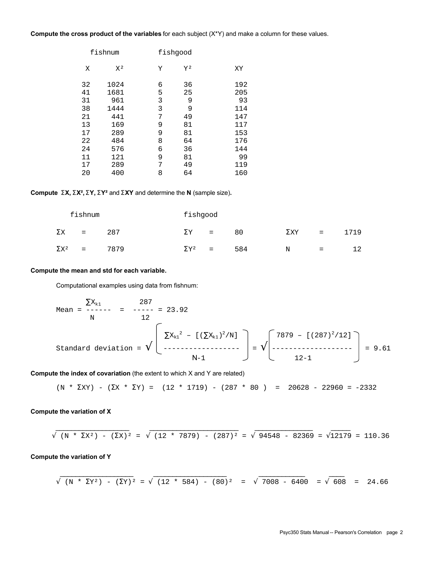# **Compute the cross product of the variables** for each subject (X\*Y) and make a column for these values.

|    | fishnum        |   | fishgood       |     |
|----|----------------|---|----------------|-----|
| Χ  | X <sup>2</sup> | Υ | Y <sup>2</sup> | XY  |
| 32 | 1024           | 6 | 36             | 192 |
| 41 | 1681           | 5 | 25             | 205 |
| 31 | 961            | 3 | 9              | 93  |
| 38 | 1444           | 3 | 9              | 114 |
| 21 | 441            | 7 | 49             | 147 |
| 13 | 169            | 9 | 81             | 117 |
| 17 | 289            | 9 | 81             | 153 |
| 22 | 484            | 8 | 64             | 176 |
| 24 | 576            | 6 | 36             | 144 |
| 11 | 121            | 9 | 81             | 99  |
| 17 | 289            | 7 | 49             | 119 |
| 20 | 400            | 8 | 64             | 160 |

# **Compute SX, SX², SY, SY²** and **SXY** and determine the **N** (sample size)**.**

|                         | fishnum          |      | fishgood                |     |     |             |     |      |
|-------------------------|------------------|------|-------------------------|-----|-----|-------------|-----|------|
| ΣΧ                      | $=$              | 287  | $\Sigma$ Y              | $=$ | 80  | $\Sigma$ XY | $=$ | 1719 |
| $\Sigma$ X <sup>2</sup> | $\sim$ $\approx$ | 7879 | $\Sigma$ Y <sup>2</sup> | $=$ | 584 | N           | $=$ | 12   |

## **Compute the mean and std for each variable.**

Computational examples using data from fishnum:

∑Xk1 287 Mean = ------ = ----- = 23.92 N 12 ∑Xk1 <sup>2</sup> – [(∑Xk1) <sup>2</sup>/N] 7879 – [(287) <sup>2</sup>/12] Standard deviation = **Ö** ------------------ = **Ö** ------------------- = 9.61 N-1 12-1

**Compute the index of covariation** (the extent to which X and Y are related)

$$
(N * \Sigma XY) - (\Sigma X * \Sigma Y) = (12 * 1719) - (287 * 80) = 20628 - 22960 = -2332
$$

## **Compute the variation of X**

$$
\sqrt{(N * \Sigma X^2) - (\Sigma X)^2} = \sqrt{(12 * 7879) - (287)^2} = \sqrt{94548 - 82369} = \sqrt{12179} = 110.36
$$

 $\mathcal{L}_\text{max} = \frac{1}{2} \sum_{i=1}^{n} \frac{1}{2} \sum_{i=1}^{n} \frac{1}{2} \sum_{i=1}^{n} \frac{1}{2} \sum_{i=1}^{n} \frac{1}{2} \sum_{i=1}^{n} \frac{1}{2} \sum_{i=1}^{n} \frac{1}{2} \sum_{i=1}^{n} \frac{1}{2} \sum_{i=1}^{n} \frac{1}{2} \sum_{i=1}^{n} \frac{1}{2} \sum_{i=1}^{n} \frac{1}{2} \sum_{i=1}^{n} \frac{1}{2} \sum_{i=1}^{n} \frac{1$ 

**Compute the variation of Y**

$$
\sqrt{(N * \Sigma Y^2) - (\Sigma Y)^2} = \sqrt{(12 * 584) - (80)^2} = \sqrt{7008 - 6400} = \sqrt{608} = 24.66
$$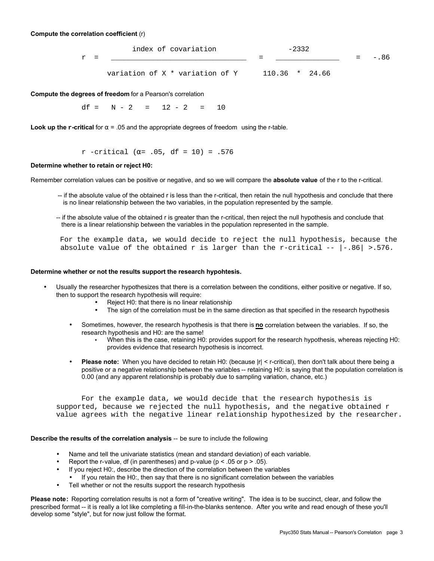## **Compute the correlation coefficient** (r)

|     | index of covariation            | $-2332$          |          |
|-----|---------------------------------|------------------|----------|
| - = |                                 |                  | $= -.86$ |
|     | variation of X * variation of Y | $110.36$ * 24.66 |          |

**Compute the degrees of freedom** for a Pearson's correlation

 $df = N - 2 = 12 - 2 = 10$ 

**Look up the**  $\mathbf{r}$ **-critical** for  $\alpha$  = .05 and the appropriate degrees of freedom using the r-table.

## r -critical ( $\alpha$ = .05, df = 10) = .576

### **Determine whether to retain or reject H0:**

Remember correlation values can be positive or negative, and so we will compare the **absolute value** of the r to the r-critical.

- -- if the absolute value of the obtained r is less than the r-critical, then retain the null hypothesis and conclude that there is no linear relationship between the two variables, in the population represented by the sample.
- -- if the absolute value of the obtained r is greater than the r-critical, then reject the null hypothesis and conclude that there is a linear relationship between the variables in the population represented in the sample.

 For the example data, we would decide to reject the null hypothesis, because the absolute value of the obtained r is larger than the r-critical  $- - |-86| > .576$ .

## **Determine whether or not the results support the research hypohtesis.**

- Usually the researcher hypothesizes that there is a correlation between the conditions, either positive or negative. If so, then to support the research hypothesis will require:
	- Reject H0: that there is no linear relationship
	- The sign of the correlation must be in the same direction as that specified in the research hypothesis
	- Sometimes, however, the research hypothesis is that there is **no** correlation between the variables. If so, the research hypothesis and H0: are the same!
		- When this is the case, retaining H0: provides support for the research hypothesis, whereas rejecting H0: provides evidence that research hypothesis is incorrect.
	- **Please note:** When you have decided to retain H0: (because |r| < r-critical), then don't talk about there being a positive or a negative relationship between the variables -- retaining H0: is saying that the population correlation is 0.00 (and any apparent relationship is probably due to sampling variation, chance, etc.)

 For the example data, we would decide that the research hypothesis is supported, because we rejected the null hypothesis, and the negative obtained r value agrees with the negative linear relationship hypothesized by the researcher.

# **Describe the results of the correlation analysis** -- be sure to include the following

- Name and tell the univariate statistics (mean and standard deviation) of each variable.
- Report the r-value, df (in parentheses) and p-value ( $p < 0.05$  or  $p > 0.05$ ).
- If you reject H0:, describe the direction of the correlation between the variables
- If you retain the H0:, then say that there is no significant correlation between the variables
- Tell whether or not the results support the research hypothesis

**Please note:** Reporting correlation results is not a form of "creative writing". The idea is to be succinct, clear, and follow the prescribed format -- it is really a lot like completing a fill-in-the-blanks sentence. After you write and read enough of these you'll develop some "style", but for now just follow the format.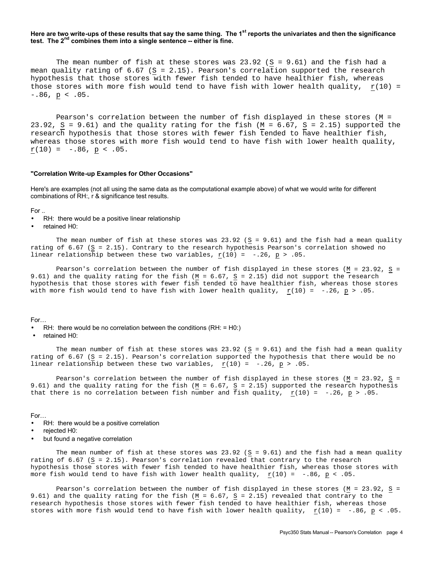## **Here are two write-ups of these results that say the same thing. The 1st reports the univariates and then the significance**  test. The 2<sup>nd</sup> combines them into a single sentence -- either is fine.

The mean number of fish at these stores was  $23.92$  (S = 9.61) and the fish had a mean quality rating of 6.67 (S = 2.15). Pearson's correlation supported the research hypothesis that those stores with fewer fish tended to have healthier fish, whereas those stores with more fish would tend to have fish with lower health quality,  $r(10) =$  $-.86, p < .05.$ 

Pearson's correlation between the number of fish displayed in these stores (M = 23.92,  $S = 9.61$ ) and the quality rating for the fish (M = 6.67,  $S = 2.15$ ) supported the research hypothesis that those stores with fewer fish tended to have healthier fish, whereas those stores with more fish would tend to have fish with lower health quality,  $r(10) = -.86, p < .05.$ 

#### **"Correlation Write-up Examples for Other Occasions"**

Here's are examples (not all using the same data as the computational example above) of what we would write for different combinations of RH:, r & significance test results.

For ..

RH: there would be a positive linear relationship

• retained H0:

The mean number of fish at these stores was  $23.92$  (S = 9.61) and the fish had a mean quality rating of 6.67 (S = 2.15). Contrary to the research hypothesis Pearson's correlation showed no linear relationship between these two variables,  $r(10) = -.26$ ,  $p > .05$ .

Pearson's correlation between the number of fish displayed in these stores ( $M = 23.92$ , S = 9.61) and the quality rating for the fish (M = 6.67, S = 2.15) did not support the research hypothesis that those stores with fewer fish tended to have healthier fish, whereas those stores with more fish would tend to have fish with lower health quality,  $r(10) = -.26$ ,  $p > .05$ .

For…

 $R$ H: there would be no correlation between the conditions ( $RH$ : = H0:)

• retained H0:

The mean number of fish at these stores was  $23.92$  (S = 9.61) and the fish had a mean quality rating of 6.67 (S = 2.15). Pearson's correlation supported the hypothesis that there would be no linear relationship between these two variables,  $r(10) = -.26$ ,  $p > .05$ .

Pearson's correlation between the number of fish displayed in these stores ( $M = 23.92$ , S = 9.61) and the quality rating for the fish ( $M = 6.67$ ,  $S = 2.15$ ) supported the research hypothesis that there is no correlation between fish number and fish quality,  $r(10) = -.26$ ,  $p > .05$ .

For…

- RH: there would be a positive correlation
- rejected H0:
- but found a negative correlation

The mean number of fish at these stores was  $23.92$  (S = 9.61) and the fish had a mean quality rating of 6.67 (S = 2.15). Pearson's correlation revealed that contrary to the research hypothesis those stores with fewer fish tended to have healthier fish, whereas those stores with more fish would tend to have fish with lower health quality,  $r(10) = -.86$ ,  $p < .05$ .

Pearson's correlation between the number of fish displayed in these stores ( $M = 23.92$ , S = 9.61) and the quality rating for the fish (M = 6.67, S = 2.15) revealed that contrary to the research hypothesis those stores with fewer fish tended to have healthier fish, whereas those stores with more fish would tend to have fish with lower health quality,  $\underline{r}(10) = -.86$ ,  $\underline{p} < .05$ .